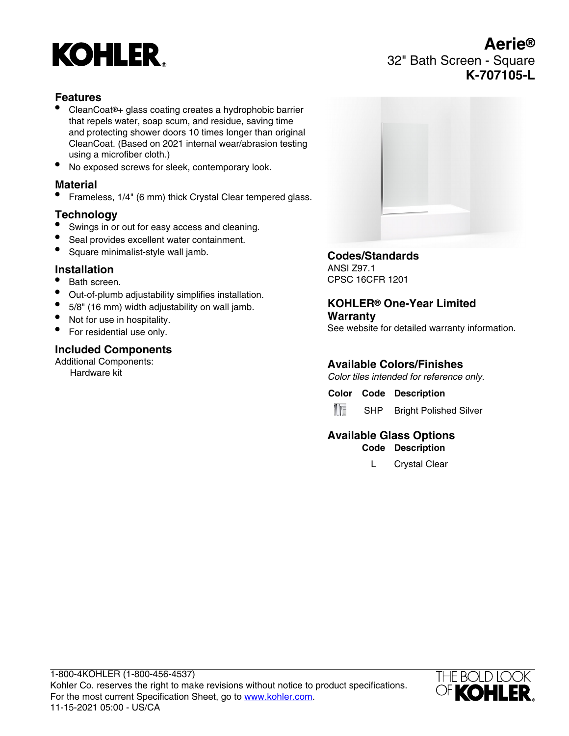# **KOHLER**

# **Features**

- CleanCoat®+ glass coating creates a hydrophobic barrier that repels water, soap scum, and residue, saving time and protecting shower doors 10 times longer than original CleanCoat. (Based on 2021 internal wear/abrasion testing using a microfiber cloth.)
- No exposed screws for sleek, contemporary look.

#### **Material**

• Frameless, 1/4" (6 mm) thick Crystal Clear tempered glass.

## **Technology**

- Swings in or out for easy access and cleaning.
- Seal provides excellent water containment.
- Square minimalist-style wall jamb.

# **Installation**

- Bath screen.
- Out-of-plumb adjustability simplifies installation.
- 5/8" (16 mm) width adjustability on wall jamb.
- Not for use in hospitality.
- For residential use only.

## **Included Components**

Additional Components: Hardware kit



## **Codes/Standards**

ANSI Z97.1 CPSC 16CFR 1201

#### **KOHLER® One-Year Limited Warranty**

See website for detailed warranty information.

# **Available Colors/Finishes**

Color tiles intended for reference only.

**Color Code Description**



SHP Bright Polished Silver

## **Available Glass Options Code Description**

L Crystal Clear



**Aerie®** 32" Bath Screen - Square **K-707105-L**